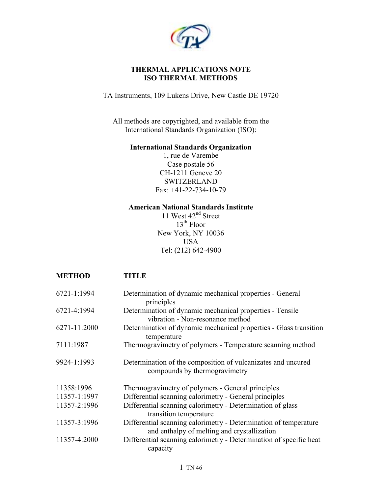

# **THERMAL APPLICATIONS NOTE ISO THERMAL METHODS**

TA Instruments, 109 Lukens Drive, New Castle DE 19720

All methods are copyrighted, and available from the International Standards Organization (ISO):

## **International Standards Organization**

1, rue de Varembe Case postale 56 CH-1211 Geneve 20 SWITZERLAND Fax: +41-22-734-10-79

## **American National Standards Institute**

11 West 42<sup>nd</sup> Street 13<sup>th</sup> Floor New York, NY 10036 USA Tel: (212) 642-4900

| <b>METHOD</b>   | <b>TITLE</b>                                                                                                    |
|-----------------|-----------------------------------------------------------------------------------------------------------------|
| $6721 - 1:1994$ | Determination of dynamic mechanical properties - General<br>principles                                          |
| 6721-4:1994     | Determination of dynamic mechanical properties - Tensile<br>vibration - Non-resonance method                    |
| 6271-11:2000    | Determination of dynamic mechanical properties - Glass transition<br>temperature                                |
| 7111:1987       | Thermogravimetry of polymers - Temperature scanning method                                                      |
| 9924-1:1993     | Determination of the composition of vulcanizates and uncured<br>compounds by thermogravimetry                   |
| 11358:1996      | Thermogravimetry of polymers - General principles                                                               |
| 11357-1:1997    | Differential scanning calorimetry - General principles                                                          |
| 11357-2:1996    | Differential scanning calorimetry - Determination of glass<br>transition temperature                            |
| 11357-3:1996    | Differential scanning calorimetry - Determination of temperature<br>and enthalpy of melting and crystallization |
| 11357-4:2000    | Differential scanning calorimetry - Determination of specific heat<br>capacity                                  |
|                 | 1 TN 46                                                                                                         |